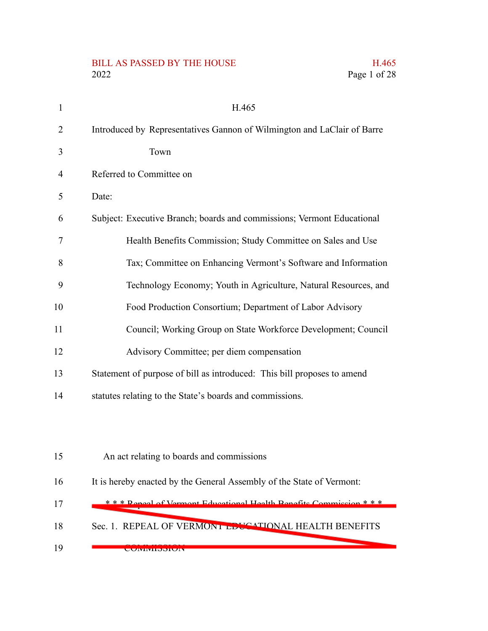### BILL AS PASSED BY THE HOUSE H.465 2022 Page 1 of 28

| $\mathbf{1}$   | H.465                                                                   |
|----------------|-------------------------------------------------------------------------|
| $\overline{2}$ | Introduced by Representatives Gannon of Wilmington and LaClair of Barre |
| 3              | Town                                                                    |
| $\overline{4}$ | Referred to Committee on                                                |
| 5              | Date:                                                                   |
| 6              | Subject: Executive Branch; boards and commissions; Vermont Educational  |
| 7              | Health Benefits Commission; Study Committee on Sales and Use            |
| 8              | Tax; Committee on Enhancing Vermont's Software and Information          |
| 9              | Technology Economy; Youth in Agriculture, Natural Resources, and        |
| 10             | Food Production Consortium; Department of Labor Advisory                |
| 11             | Council; Working Group on State Workforce Development; Council          |
| 12             | Advisory Committee; per diem compensation                               |
| 13             | Statement of purpose of bill as introduced: This bill proposes to amend |
| 14             | statutes relating to the State's boards and commissions.                |
|                |                                                                         |
| 15             | An act relating to boards and commissions                               |

- It is hereby enacted by the General Assembly of the State of Vermont: 16
- \* \* \* Repeal of Vermont Educational Health Benefits Commission \* \* \* 17
- Sec. 1. REPEAL OF VERMONT EDUCATIONAL HEALTH BENEFITS 18
- **COMMITMONION** 19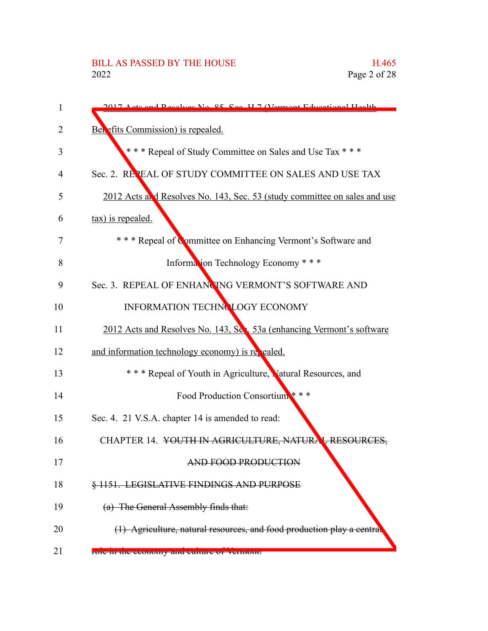| 1  | 2017 Acts and Resolves No. 85, Sec. H.7 (Vermont Educational Health)      |
|----|---------------------------------------------------------------------------|
| 2  | Ben efits Commission) is repealed.                                        |
| 3  | *** Repeal of Study Committee on Sales and Use Tax ***                    |
| 4  | Sec. 2. REPEAL OF STUDY COMMITTEE ON SALES AND USE TAX                    |
| 5  | 2012 Acts and Resolves No. 143, Sec. 53 (study committee on sales and use |
| 6  | tax) is repealed.                                                         |
| 7  | *** Repeal of Committee on Enhancing Vermont's Software and               |
| 8  | Information Technology Economy * * *                                      |
| 9  | Sec. 3. REPEAL OF ENHANCING VERMONT'S SOFTWARE AND                        |
| 10 | INFORMATION TECHNOLOGY ECONOMY                                            |
| 11 | 2012 Acts and Resolves No. 143, Sec. 53a (enhancing Vermont's software    |
| 12 | and information technology economy) is repealed.                          |
| 13 | * * * Repeal of Youth in Agriculture, Matural Resources, and              |
| 14 | Food Production Consortium ***                                            |
| 15 | Sec. 4. 21 V.S.A. chapter 14 is amended to read:                          |
| 16 | CHAPTER 14. YOUTH IN AGRICULTURE, NATURAL RESOURCES,                      |
| 17 | AND FOOD PRODUCTION                                                       |
| 18 | § 1151. LEGISLATIVE FINDINGS AND PURPOSE                                  |
| 19 | (a) The General Assembly finds that:                                      |
| 20 | (1) Agriculture, natural resources, and food production play a central    |
| 21 | FOIC In the economy and culture of vermont.                               |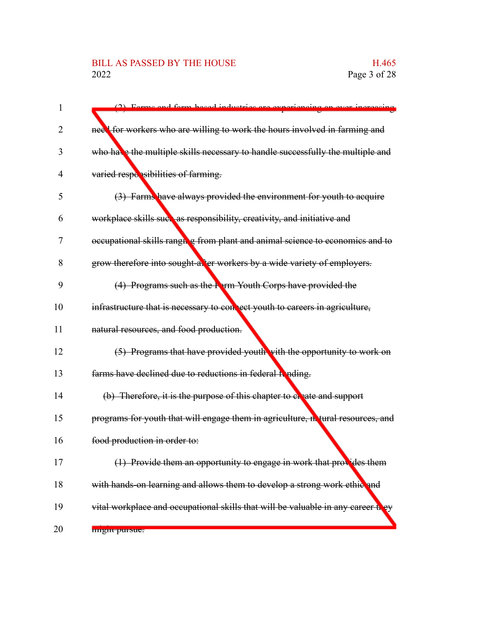## BILL AS PASSED BY THE HOUSE H.465<br>2022 Page 3 of 28

| $\mathbf{1}$ | (2) Forma and form hogod inductries are experiencing                             |
|--------------|----------------------------------------------------------------------------------|
| 2            | neel for workers who are willing to work the hours involved in farming and       |
| 3            | who have the multiple skills necessary to handle successfully the multiple and   |
| 4            | varied responsibilities of farming.                                              |
| 5            | (3) Farms have always provided the environment for youth to acquire              |
| 6            | workplace skills such as responsibility, creativity, and initiative and          |
| 7            | occupational skills ranging from plant and animal science to economics and to    |
| 8            | grow therefore into sought-after workers by a wide variety of employers.         |
| 9            | (4) Programs such as the Farm Youth Corps have provided the                      |
| 10           | infrastructure that is necessary to connect youth to careers in agriculture,     |
| 11           | natural resources, and food production.                                          |
| 12           | (5) Programs that have provided youth with the opportunity to work on            |
| 13           | farms have declined due to reductions in federal hending.                        |
| 14           | (b) Therefore, it is the purpose of this chapter to eneate and support           |
| 15           | programs for youth that will engage them in agriculture, netural resources, and  |
| 16           | food production in order to:                                                     |
| 17           | (1) Provide them an opportunity to engage in work that provides them             |
| 18           | with hands-on learning and allows them to develop a strong work ethic and        |
| 19           | vital workplace and occupational skills that will be valuable in any career they |
| 20           | <b>HIPSHIL DUILSUG.</b>                                                          |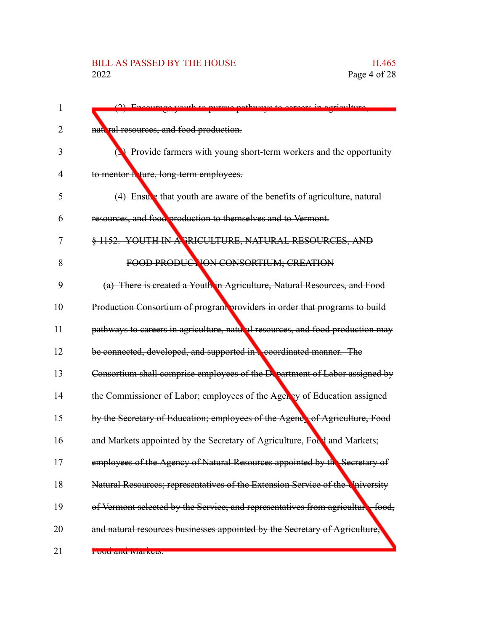## BILL AS PASSED BY THE HOUSE H.465<br>2022 Page 4 of 28

| $\mathbf{1}$ | $(2)$ Encourage                                                                          |
|--------------|------------------------------------------------------------------------------------------|
| 2            | nattral resources, and food production.                                                  |
| 3            | <b>(3)</b> Provide farmers with young short-term workers and the opportunity             |
| 4            | to mentor hoture, long-term employees.                                                   |
| 5            | (4) Ensule that youth are aware of the benefits of agriculture, natural                  |
| 6            | resources, and food production to themselves and to Vermont.                             |
| 7            | § 1152. YOUTH IN A PRICULTURE, NATURAL RESOURCES, AND                                    |
| 8            | FOOD PRODUCTION CONSORTIUM; CREATION                                                     |
| 9            | (a) There is created a Youth in Agriculture, Natural Resources, and Food                 |
| 10           | Production Consortium of program providers in order that programs to build               |
| 11           | pathways to careers in agriculture, natural resources, and food production may           |
| 12           | be connected, developed, and supported in <b>coordinated manner</b> . The                |
| 13           | Consortium shall comprise employees of the Department of Labor assigned by               |
| 14           | the Commissioner of Labor; employees of the Ager by of Education assigned                |
| 15           | by the Secretary of Education; employees of the Agency of Agriculture, Food              |
| 16           | and Markets appointed by the Secretary of Agriculture, Focd and Markets;                 |
| 17           | employees of the Agency of Natural Resources appointed by the Secretary of               |
| 18           | Natural Resources; representatives of the Extension Service of the University            |
| 19           | of Vermont selected by the Service; and representatives from agriculture<br>footnotesize |
| 20           | and natural resources businesses appointed by the Secretary of Agriculture,              |
| 21           | <del>i uuu anu iviaikeis.</del>                                                          |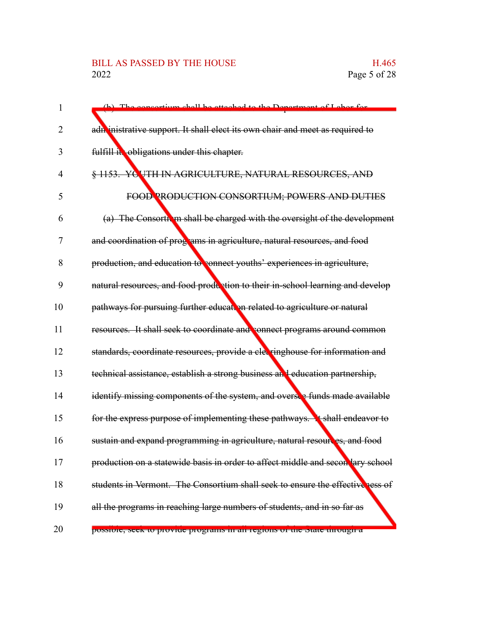## BILL AS PASSED BY THE HOUSE H.465<br>2022 Page 5 of 28

| $\mathbf 1$    | (b) The concortium chall be attached to the Department of Labor for             |
|----------------|---------------------------------------------------------------------------------|
| $\overline{2}$ | adn inistrative support. It shall elect its own chair and meet as required to   |
| 3              | fulfill it obligations under this chapter.                                      |
| $\overline{4}$ | § 1153. YOUTH IN AGRICULTURE, NATURAL RESOURCES, AND                            |
| 5              | FOOD PRODUCTION CONSORTIUM; POWERS AND DUTIES                                   |
| 6              | (a) The Consorth in shall be charged with the oversight of the development      |
| 7              | and coordination of programs in agriculture, natural resources, and food        |
| 8              | production, and education to connect youths' experiences in agriculture,        |
| 9              | natural resources, and food production to their in-school learning and develop  |
| 10             | pathways for pursuing further education related to agriculture or natural       |
| 11             | resources. It shall seek to coordinate and connect programs around common       |
| 12             | standards, coordinate resources, provide a cleeringhouse for information and    |
| 13             | technical assistance, establish a strong business and education partnership,    |
| 14             | identify missing components of the system, and oversee funds made available     |
| 15             | for the express purpose of implementing these pathways. It shall endeavor to    |
| 16             | sustain and expand programming in agriculture, natural resoures, and food       |
| 17             | production on a statewide basis in order to affect middle and secon lary school |
| 18             | students in Vermont. The Consortium shall seek to ensure the effective ress of  |
| 19             | all the programs in reaching large numbers of students, and in so far as        |
| 20             | possiole, seek to provide programs in an regions or the state tinough a         |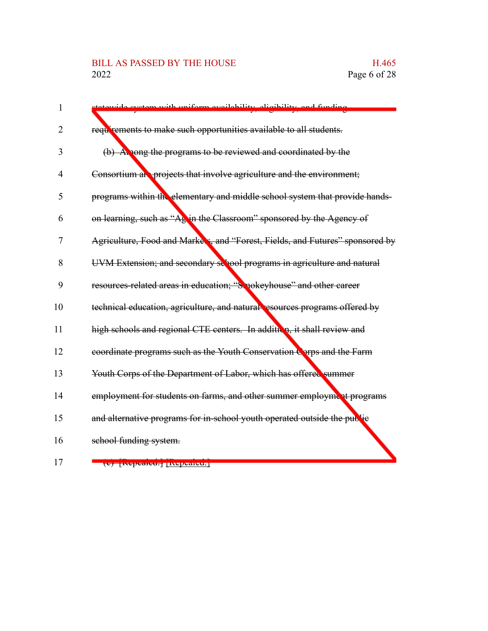## BILL AS PASSED BY THE HOUSE H.465<br>2022 Page 6 of 28

| $\mathbf{1}$   | avetam with uniform availability aligibility and funding                      |
|----------------|-------------------------------------------------------------------------------|
| 2              | requirements to make such opportunities available to all students.            |
| 3              | (b) A nong the programs to be reviewed and coordinated by the                 |
| 4              | Consortium at projects that involve agriculture and the environment;          |
| 5              | programs within the elementary and middle school system that provide hands-   |
| 6              | on learning, such as "Ag in the Classroom" sponsored by the Agency of         |
| $\overline{7}$ | Agriculture, Food and Markers, and "Forest, Fields, and Futures" sponsored by |
| 8              | UVM Extension; and secondary sellool programs in agriculture and natural      |
| 9              | resources-related areas in education; "Smokeyhouse" and other career          |
| 10             | technical education, agriculture, and natural resources programs offered by   |
| 11             | high schools and regional CTE centers. In addition, it shall review and       |
| 12             | coordinate programs such as the Youth Conservation Corps and the Farm         |
| 13             | Youth Corps of the Department of Labor, which has offered summer              |
| 14             | employment for students on farms, and other summer employment programs        |
| 15             | and alternative programs for in-school youth operated outside the public      |
| 16             | school funding system.                                                        |
|                |                                                                               |

17

(c) [Repealed.] [Repealed.]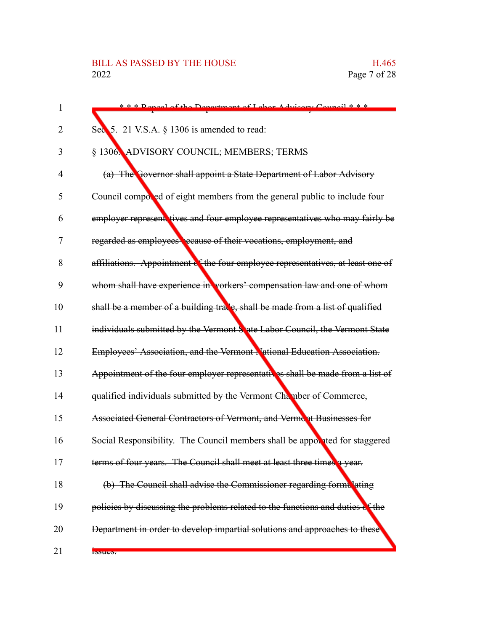| 1  | *** Denoel of the Department of Labor Advisory Council ***                      |
|----|---------------------------------------------------------------------------------|
| 2  | Sec 5. 21 V.S.A. § 1306 is amended to read:                                     |
| 3  | § 1306. ADVISORY COUNCIL; MEMBERS; TERMS                                        |
| 4  | (a) The Governor shall appoint a State Department of Labor Advisory             |
| 5  | Council componed of eight members from the general public to include four       |
| 6  | employer represent tives and four employee representatives who may fairly be    |
| 7  | regarded as employees ecause of their vocations, employment, and                |
| 8  | affiliations. Appointment of the four employee representatives, at least one of |
| 9  | whom shall have experience in vorkers' compensation law and one of whom         |
| 10 | shall be a member of a building tracle, shall be made from a list of qualified  |
| 11 | individuals submitted by the Vermont S ate Labor Council, the Vermont State     |
| 12 | Employees' Association, and the Vermont National Education Association.         |
| 13 | Appointment of the four employer representatives shall be made from a list of   |
| 14 | qualified individuals submitted by the Vermont Chamber of Commerce,             |
| 15 | Associated General Contractors of Vermont, and Verment Businesses for           |
| 16 | Social Responsibility. The Council members shall be apporated for staggered     |
| 17 | terms of four years. The Council shall meet at least three times a year.        |
| 18 | (b) The Council shall advise the Commissioner regarding formulating             |
| 19 | policies by discussing the problems related to the functions and duties of the  |
| 20 | Department in order to develop impartial solutions and approaches to these      |
| 21 | <b>Bouto</b> :                                                                  |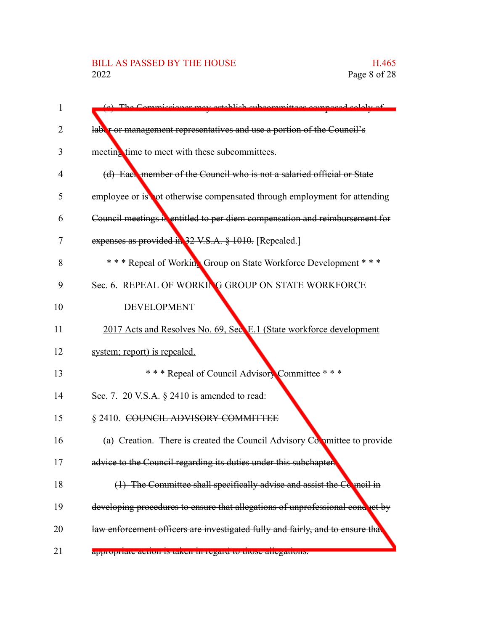## BILL AS PASSED BY THE HOUSE H.465<br>2022 Page 8 of 28

| laber or management representatives and use a portion of the Council's<br>2<br>meeting time to meet with these subcommittees.<br>3<br>(d) Each member of the Council who is not a salaried official or State<br>4<br>5<br>6<br>expenses as provided in 32 V.S.A. § 1010. [Repealed.]<br>7<br>8<br>Sec. 6. REPEAL OF WORKING GROUP ON STATE WORKFORCE<br>9<br><b>DEVELOPMENT</b><br>system; report) is repealed.<br>*** Repeal of Council Advisory Committee ***<br>Sec. 7. 20 V.S.A. § 2410 is amended to read:<br>§ 2410. COUNCIL ADVISORY COMMITTEE<br>advice to the Council regarding its duties under this subchapter.<br>18 | $\mathbf{1}$ | (a) The Commissioner may establish subcommittees composed solely of            |
|----------------------------------------------------------------------------------------------------------------------------------------------------------------------------------------------------------------------------------------------------------------------------------------------------------------------------------------------------------------------------------------------------------------------------------------------------------------------------------------------------------------------------------------------------------------------------------------------------------------------------------|--------------|--------------------------------------------------------------------------------|
| 10<br>11<br>12<br>13<br>14<br>15<br>16<br>17<br>19<br>20<br>21                                                                                                                                                                                                                                                                                                                                                                                                                                                                                                                                                                   |              |                                                                                |
|                                                                                                                                                                                                                                                                                                                                                                                                                                                                                                                                                                                                                                  |              |                                                                                |
|                                                                                                                                                                                                                                                                                                                                                                                                                                                                                                                                                                                                                                  |              |                                                                                |
|                                                                                                                                                                                                                                                                                                                                                                                                                                                                                                                                                                                                                                  |              |                                                                                |
|                                                                                                                                                                                                                                                                                                                                                                                                                                                                                                                                                                                                                                  |              | employee or is not otherwise compensated through employment for attending      |
|                                                                                                                                                                                                                                                                                                                                                                                                                                                                                                                                                                                                                                  |              | Council meetings is entitled to per diem compensation and reimbursement for    |
|                                                                                                                                                                                                                                                                                                                                                                                                                                                                                                                                                                                                                                  |              |                                                                                |
|                                                                                                                                                                                                                                                                                                                                                                                                                                                                                                                                                                                                                                  |              | * * * Repeal of Working Group on State Workforce Development * * *             |
|                                                                                                                                                                                                                                                                                                                                                                                                                                                                                                                                                                                                                                  |              |                                                                                |
|                                                                                                                                                                                                                                                                                                                                                                                                                                                                                                                                                                                                                                  |              |                                                                                |
|                                                                                                                                                                                                                                                                                                                                                                                                                                                                                                                                                                                                                                  |              | 2017 Acts and Resolves No. 69, Sec. E.1 (State workforce development           |
|                                                                                                                                                                                                                                                                                                                                                                                                                                                                                                                                                                                                                                  |              |                                                                                |
|                                                                                                                                                                                                                                                                                                                                                                                                                                                                                                                                                                                                                                  |              |                                                                                |
|                                                                                                                                                                                                                                                                                                                                                                                                                                                                                                                                                                                                                                  |              |                                                                                |
|                                                                                                                                                                                                                                                                                                                                                                                                                                                                                                                                                                                                                                  |              |                                                                                |
|                                                                                                                                                                                                                                                                                                                                                                                                                                                                                                                                                                                                                                  |              | (a) Creation. There is created the Council Advisory Committee to provide       |
|                                                                                                                                                                                                                                                                                                                                                                                                                                                                                                                                                                                                                                  |              |                                                                                |
|                                                                                                                                                                                                                                                                                                                                                                                                                                                                                                                                                                                                                                  |              | $(1)$ The Committee shall specifically advise and assist the Conneil in        |
|                                                                                                                                                                                                                                                                                                                                                                                                                                                                                                                                                                                                                                  |              | developing procedures to ensure that allegations of unprofessional conduct by  |
|                                                                                                                                                                                                                                                                                                                                                                                                                                                                                                                                                                                                                                  |              | law enforcement officers are investigated fully and fairly, and to ensure that |
|                                                                                                                                                                                                                                                                                                                                                                                                                                                                                                                                                                                                                                  |              | <del>appropriate action is taken in regard to those anegations.</del>          |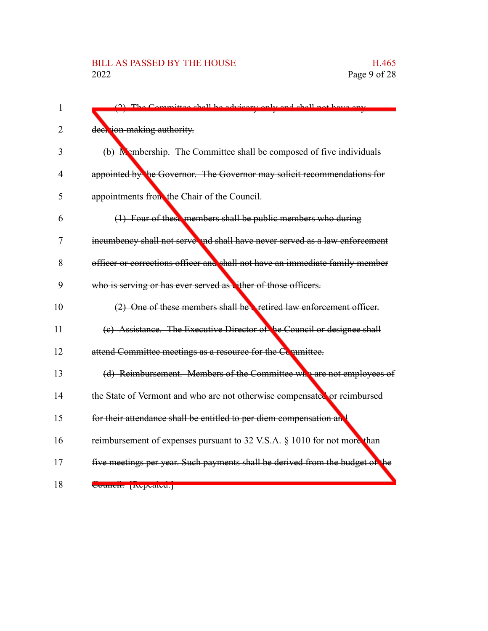| 1  | (2) The Committee shall be advisory only and shall not have any               |
|----|-------------------------------------------------------------------------------|
| 2  | deer jon-making authority.                                                    |
| 3  | (b) M embership. The Committee shall be composed of five individuals          |
| 4  | appointed by the Governor. The Governor may solicit recommendations for       |
| 5  | appointments from the Chair of the Council.                                   |
| 6  | (1) Four of these members shall be public members who during                  |
| 7  | incumbency shall not serve and shall have never served as a law enforcement   |
| 8  | officer or corrections officer and shall not have an immediate family member  |
| 9  | who is serving or has ever served as vither of those officers.                |
| 10 | (2) One of these members shall be a retired law enforcement officer.          |
| 11 | (c) Assistance. The Executive Director of he Council or designee shall        |
| 12 | attend Committee meetings as a resource for the Committee.                    |
| 13 | (d) Reimbursement. Members of the Committee who are not employees of          |
| 14 | the State of Vermont and who are not otherwise compensated or reimbursed      |
| 15 | for their attendance shall be entitled to per diem compensation and           |
| 16 | reimbursement of expenses pursuant to 32 V.S.A. § 1010 for not more than      |
| 17 | five meetings per year. Such payments shall be derived from the budget of the |
| 18 | Councir Inepeared.                                                            |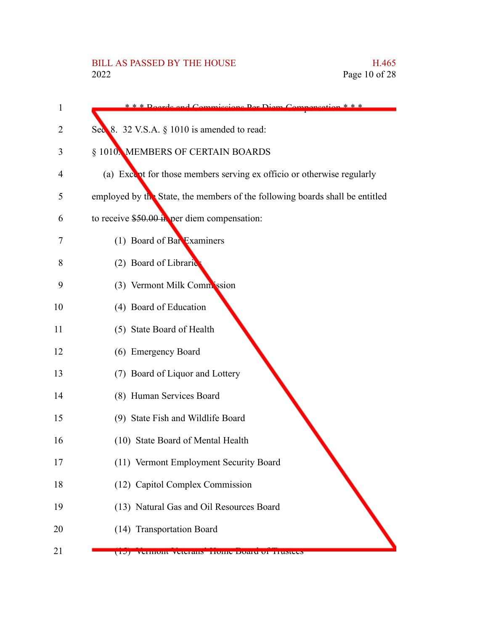| 1  | d Commissions Dor Diam Compansati<br>$\alpha$ * * *                          |
|----|------------------------------------------------------------------------------|
| 2  | Sec 8. 32 V.S.A. § 1010 is amended to read:                                  |
| 3  | § 1010. MEMBERS OF CERTAIN BOARDS                                            |
| 4  | (a) Except for those members serving ex officio or otherwise regularly       |
| 5  | employed by the State, the members of the following boards shall be entitled |
| 6  | to receive $$50.00$ in per diem compensation:                                |
| 7  | (1) Board of Bar Examiners                                                   |
| 8  | (2) Board of Librarie                                                        |
| 9  | (3) Vermont Milk Commission                                                  |
| 10 | (4) Board of Education                                                       |
| 11 | (5) State Board of Health                                                    |
| 12 | (6) Emergency Board                                                          |
| 13 | (7) Board of Liquor and Lottery                                              |
| 14 | (8) Human Services Board                                                     |
| 15 | (9) State Fish and Wildlife Board                                            |
| 16 | (10) State Board of Mental Health                                            |
| 17 | (11) Vermont Employment Security Board                                       |
| 18 | (12) Capitol Complex Commission                                              |
| 19 | (13) Natural Gas and Oil Resources Board                                     |
| 20 | (14) Transportation Board                                                    |
| 21 | $\overline{1J}$<br>Vermont veterans frome board of frustees                  |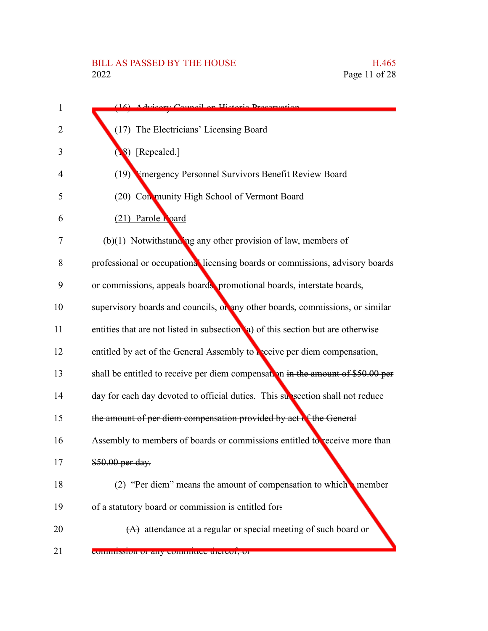# BILL AS PASSED BY THE HOUSE H.465<br>2022 Page 11 of 28

| $\mathbf{1}$   | (16) Advisory Council on Historic Preservation                                   |
|----------------|----------------------------------------------------------------------------------|
| 2              | (17) The Electricians' Licensing Board                                           |
| 3              | 8) [Repealed.]                                                                   |
| $\overline{4}$ | (19) Emergency Personnel Survivors Benefit Review Board                          |
| 5              | (20) Con munity High School of Vermont Board                                     |
| 6              | (21) Parole Loard                                                                |
| 7              | $(b)(1)$ Notwithstanding any other provision of law, members of                  |
| 8              | professional or occupational licensing boards or commissions, advisory boards    |
| 9              | or commissions, appeals boards, promotional boards, interstate boards,           |
| 10             | supervisory boards and councils, or any other boards, commissions, or similar    |
| 11             | entities that are not listed in subsection (a) of this section but are otherwise |
| 12             | entitled by act of the General Assembly to receive per diem compensation,        |
| 13             | shall be entitled to receive per diem compensation in the amount of \$50.00 per  |
| 14             | day for each day devoted to official duties. This subsection shall not reduce    |
| 15             | the amount of per diem compensation provided by act of the General               |
| 16             | Assembly to members of boards or commissions entitled to receive more than       |
| 17             | \$50.00 per day.                                                                 |
| 18             | (2) "Per diem" means the amount of compensation to which member                  |
| 19             | of a statutory board or commission is entitled for:                              |
| 20             | $(A)$ attendance at a regular or special meeting of such board or                |
| 21             | commission of any committee thereor, or                                          |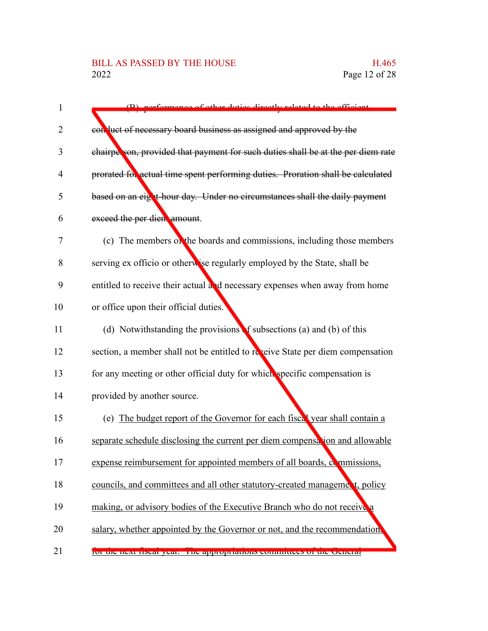## BILL AS PASSED BY THE HOUSE H.465<br>2022 Page 12 of 28

| (B) norformance of other duties directly related to the efficient                |
|----------------------------------------------------------------------------------|
| con luct of necessary board business as assigned and approved by the             |
| chairperson, provided that payment for such duties shall be at the per diem rate |
| prorated for actual time spent performing duties. Proration shall be calculated  |
| based on an eight-hour day. Under no circumstances shall the daily payment       |
| exceed the per dien amount.                                                      |
| (c) The members on the boards and commissions, including those members           |
| serving ex officio or otherwise regularly employed by the State, shall be        |
| entitled to receive their actual and necessary expenses when away from home      |
| or office upon their official duties.                                            |
| (d) Notwithstanding the provisions of subsections (a) and (b) of this            |
| section, a member shall not be entitled to reveive State per diem compensation   |
| for any meeting or other official duty for which specific compensation is        |
| provided by another source.                                                      |
| (e) The budget report of the Governor for each fiscal year shall contain a       |
| separate schedule disclosing the current per diem compensation and allowable     |
| expense reimbursement for appointed members of all boards, commissions,          |
| councils, and committees and all other statutory-created management, policy      |
| making, or advisory bodies of the Executive Branch who do not receive a          |
| salary, whether appointed by the Governor or not, and the recommendation.        |
| 101 the heat hocal year. The appropriations committees or the cleneral           |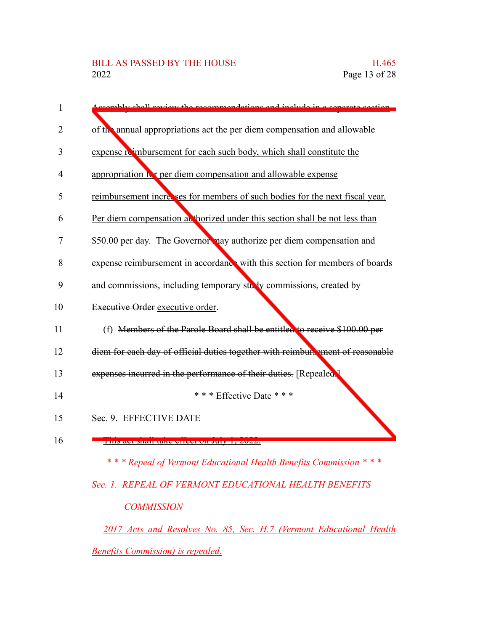| 1              | comply shall review the recommendations and include in a separate section      |
|----------------|--------------------------------------------------------------------------------|
| 2              | of the annual appropriations act the per diem compensation and allowable       |
| 3              | expense reimbursement for each such body, which shall constitute the           |
| $\overline{4}$ | appropriation it t per diem compensation and allowable expense                 |
| 5              | reimbursement increases for members of such bodies for the next fiscal year.   |
| 6              | Per diem compensation at horized under this section shall be not less than     |
| 7              | \$50.00 per day. The Governor nay authorize per diem compensation and          |
| 8              | expense reimbursement in accordance with this section for members of boards    |
| 9              | and commissions, including temporary study commissions, created by             |
| 10             | Executive Order executive order.                                               |
| 11             | (f) Members of the Parole Board shall be entitled to receive \$100.00 per      |
| 12             | diem for each day of official duties together with reimbure ment of reasonable |
| 13             | expenses incurred in the performance of their duties. [Repealed.]              |
| 14             | *** Effective Date ***                                                         |
| 15             | Sec. 9. EFFECTIVE DATE                                                         |
| 16             | THIS are shall take effect on July 1, $2022$ .                                 |
|                | *** Repeal of Vermont Educational Health Benefits Commission ***               |

*Sec. 1. REPEAL OF VERMONT EDUCATIONAL HEALTH BENEFITS COMMISSION*

*2017 Acts and Resolves No. 85, Sec. H.7 (Vermont Educational Health Benefits Commission) is repealed.*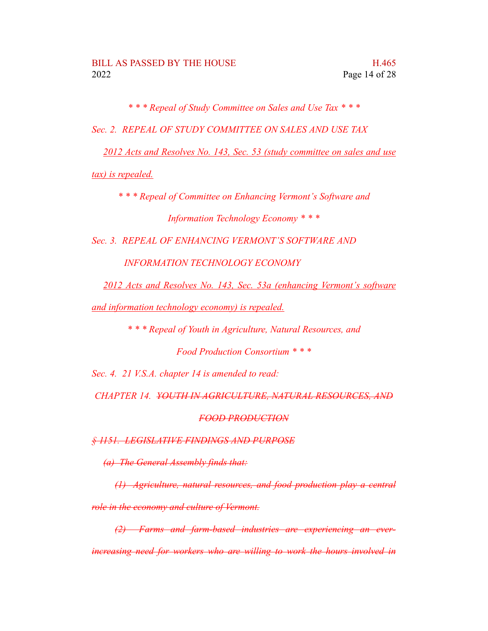*\* \* \* Repeal of Study Committee on Sales and Use Tax \* \* \**

*Sec. 2. REPEAL OF STUDY COMMITTEE ON SALES AND USE TAX*

*2012 Acts and Resolves No. 143, Sec. 53 (study committee on sales and use*

*tax) is repealed.*

*\* \* \* Repeal of Committee on Enhancing Vermont's Software and Information Technology Economy \* \* \**

*Sec. 3. REPEAL OF ENHANCING VERMONT'S SOFTWARE AND*

*INFORMATION TECHNOLOGY ECONOMY*

*2012 Acts and Resolves No. 143, Sec. 53a (enhancing Vermont's software*

*and information technology economy) is repealed.*

*\* \* \* Repeal of Youth in Agriculture, Natural Resources, and*

*Food Production Consortium \* \* \**

*Sec. 4. 21 V.S.A. chapter 14 is amended to read:*

*CHAPTER 14. YOUTH IN AGRICULTURE, NATURAL RESOURCES, AND*

### *FOOD PRODUCTION*

*§ 1151. LEGISLATIVE FINDINGS AND PURPOSE*

*(a) The General Assembly finds that:*

*(1) Agriculture, natural resources, and food production play a central role in the economy and culture of Vermont.*

*(2) Farms and farm-based industries are experiencing an everincreasing need for workers who are willing to work the hours involved in*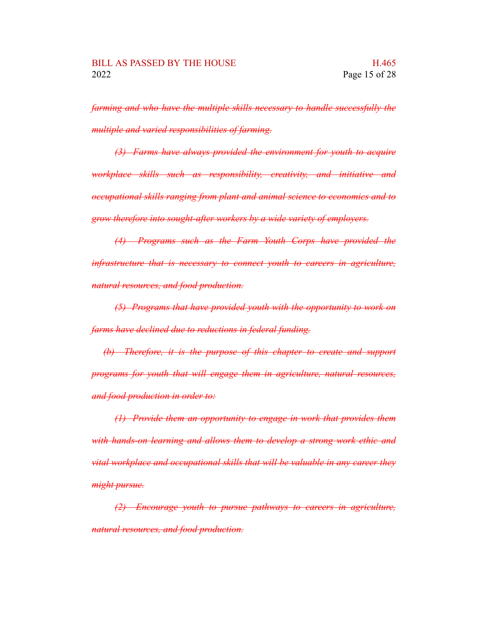*farming and who have the multiple skills necessary to handle successfully the multiple and varied responsibilities of farming.*

*(3) Farms have always provided the environment for youth to acquire workplace skills such as responsibility, creativity, and initiative and occupational skills ranging from plant and animal science to economics and to grow therefore into sought-after workers by a wide variety of employers.*

*(4) Programs such as the Farm Youth Corps have provided the infrastructure that is necessary to connect youth to careers in agriculture, natural resources, and food production.*

*(5) Programs that have provided youth with the opportunity to work on farms have declined due to reductions in federal funding.*

*(b) Therefore, it is the purpose of this chapter to create and support programs for youth that will engage them in agriculture, natural resources, and food production in order to:*

*(1) Provide them an opportunity to engage in work that provides them with hands-on learning and allows them to develop a strong work ethic and vital workplace and occupational skills that will be valuable in any career they might pursue.*

*(2) Encourage youth to pursue pathways to careers in agriculture, natural resources, and food production.*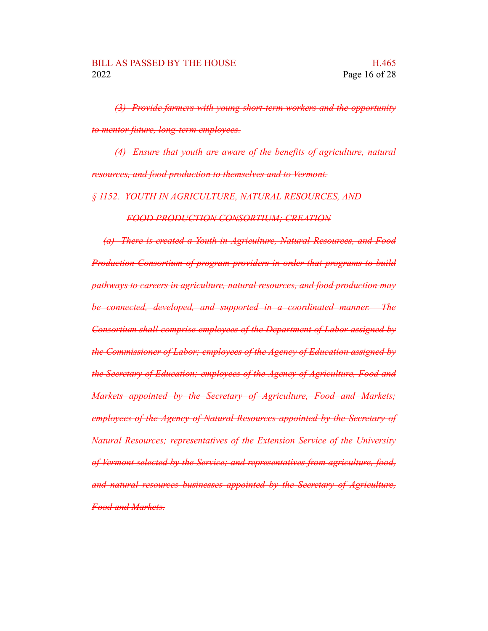*(3) Provide farmers with young short-term workers and the opportunity to mentor future, long-term employees.*

*(4) Ensure that youth are aware of the benefits of agriculture, natural resources, and food production to themselves and to Vermont.*

*§ 1152. YOUTH IN AGRICULTURE, NATURAL RESOURCES, AND*

*FOOD PRODUCTION CONSORTIUM; CREATION*

*(a) There is created a Youth in Agriculture, Natural Resources, and Food Production Consortium of program providers in order that programs to build pathways to careers in agriculture, natural resources, and food production may be connected, developed, and supported in a coordinated manner. The Consortium shall comprise employees of the Department of Labor assigned by the Commissioner of Labor; employees of the Agency of Education assigned by the Secretary of Education; employees of the Agency of Agriculture, Food and Markets appointed by the Secretary of Agriculture, Food and Markets; employees of the Agency of Natural Resources appointed by the Secretary of Natural Resources; representatives of the Extension Service of the University of Vermont selected by the Service; and representatives from agriculture, food, and natural resources businesses appointed by the Secretary of Agriculture, Food and Markets.*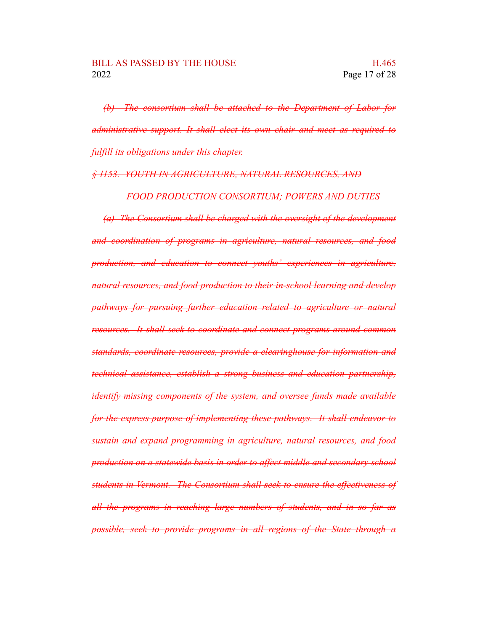*(b) The consortium shall be attached to the Department of Labor for administrative support. It shall elect its own chair and meet as required to fulfill its obligations under this chapter.*

### *§ 1153. YOUTH IN AGRICULTURE, NATURAL RESOURCES, AND*

*FOOD PRODUCTION CONSORTIUM; POWERS AND DUTIES*

*(a) The Consortium shall be charged with the oversight of the development and coordination of programs in agriculture, natural resources, and food production, and education to connect youths' experiences in agriculture, natural resources, and food production to their in-school learning and develop pathways for pursuing further education related to agriculture or natural resources. It shall seek to coordinate and connect programs around common standards, coordinate resources, provide a clearinghouse for information and technical assistance, establish a strong business and education partnership, identify missing components of the system, and oversee funds made available for the express purpose of implementing these pathways. It shall endeavor to sustain and expand programming in agriculture, natural resources, and food production on a statewide basis in order to affect middle and secondary school students in Vermont. The Consortium shall seek to ensure the effectiveness of all the programs in reaching large numbers of students, and in so far as possible, seek to provide programs in all regions of the State through a*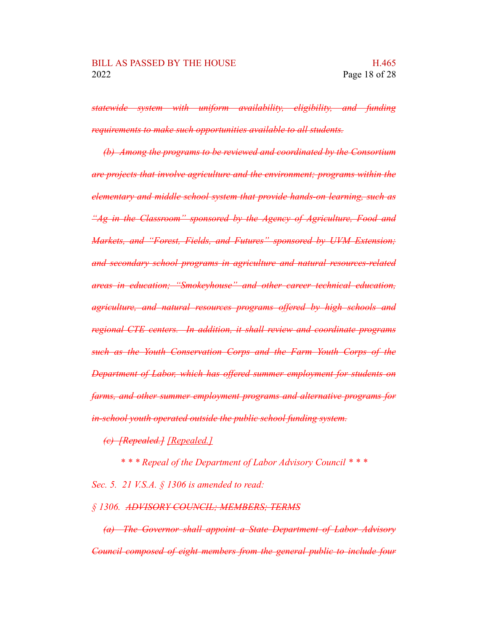*statewide system with uniform availability, eligibility, and funding requirements to make such opportunities available to all students.*

*(b) Among the programs to be reviewed and coordinated by the Consortium are projects that involve agriculture and the environment; programs within the elementary and middle school system that provide hands-on learning, such as "Ag in the Classroom" sponsored by the Agency of Agriculture, Food and Markets, and "Forest, Fields, and Futures" sponsored by UVM Extension; and secondary school programs in agriculture and natural resources-related areas in education; "Smokeyhouse" and other career technical education, agriculture, and natural resources programs offered by high schools and regional CTE centers. In addition, it shall review and coordinate programs such as the Youth Conservation Corps and the Farm Youth Corps of the Department of Labor, which has offered summer employment for students on farms, and other summer employment programs and alternative programs for in-school youth operated outside the public school funding system.*

*(c) [Repealed.] [Repealed.]*

*\* \* \* Repeal of the Department of Labor Advisory Council \* \* \**

*Sec. 5. 21 V.S.A. § 1306 is amended to read:*

*§ 1306. ADVISORY COUNCIL; MEMBERS; TERMS*

*(a) The Governor shall appoint a State Department of Labor Advisory Council composed of eight members from the general public to include four*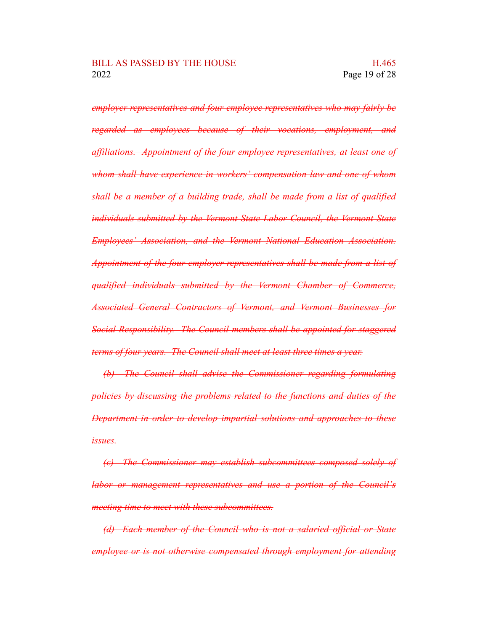*employer representatives and four employee representatives who may fairly be regarded as employees because of their vocations, employment, and affiliations. Appointment of the four employee representatives, at least one of whom shall have experience in workers' compensation law and one of whom shall be a member of a building trade, shall be made from a list of qualified individuals submitted by the Vermont State Labor Council, the Vermont State Employees' Association, and the Vermont National Education Association. Appointment of the four employer representatives shall be made from a list of qualified individuals submitted by the Vermont Chamber of Commerce, Associated General Contractors of Vermont, and Vermont Businesses for Social Responsibility. The Council members shall be appointed for staggered terms of four years. The Council shall meet at least three times a year.*

*(b) The Council shall advise the Commissioner regarding formulating policies by discussing the problems related to the functions and duties of the Department in order to develop impartial solutions and approaches to these issues.*

*(c) The Commissioner may establish subcommittees composed solely of labor or management representatives and use a portion of the Council's meeting time to meet with these subcommittees.*

*(d) Each member of the Council who is not a salaried official or State employee or is not otherwise compensated through employment for attending*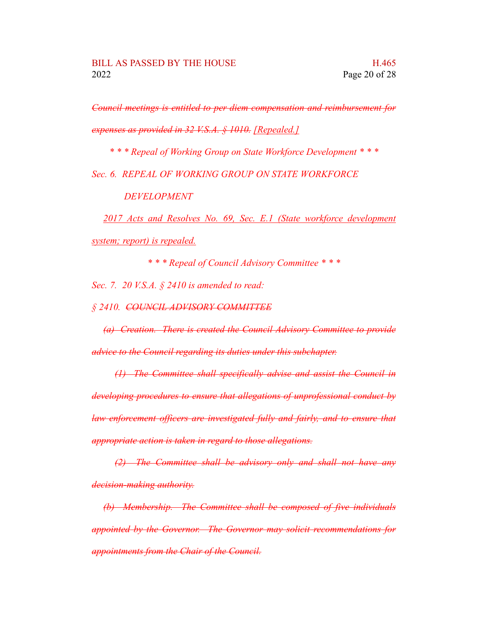*Council meetings is entitled to per diem compensation and reimbursement for expenses as provided in 32 V.S.A. § 1010. [Repealed.]*

*\* \* \* Repeal of Working Group on State Workforce Development \* \* \**

*Sec. 6. REPEAL OF WORKING GROUP ON STATE WORKFORCE*

*DEVELOPMENT*

*2017 Acts and Resolves No. 69, Sec. E.1 (State workforce development system; report) is repealed.*

*\* \* \* Repeal of Council Advisory Committee \* \* \**

*Sec. 7. 20 V.S.A. § 2410 is amended to read:*

*§ 2410. COUNCIL ADVISORY COMMITTEE*

*(a) Creation. There is created the Council Advisory Committee to provide advice to the Council regarding its duties under this subchapter.*

*(1) The Committee shall specifically advise and assist the Council in developing procedures to ensure that allegations of unprofessional conduct by law enforcement officers are investigated fully and fairly, and to ensure that appropriate action is taken in regard to those allegations.*

*(2) The Committee shall be advisory only and shall not have any decision-making authority.*

*(b) Membership. The Committee shall be composed of five individuals appointed by the Governor. The Governor may solicit recommendations for appointments from the Chair of the Council.*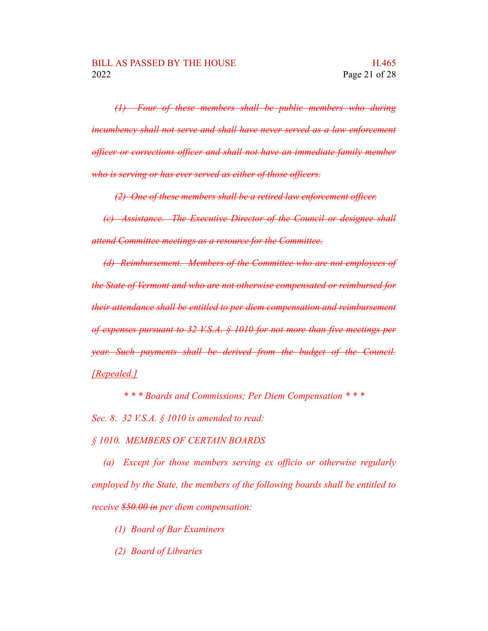*(1) Four of these members shall be public members who during incumbency shall not serve and shall have never served as a law enforcement officer or corrections officer and shall not have an immediate family member who is serving or has ever served as either of those officers.*

*(2) One of these members shall be a retired law enforcement officer.*

*(c) Assistance. The Executive Director of the Council or designee shall attend Committee meetings as a resource for the Committee.*

*(d) Reimbursement. Members of the Committee who are not employees of the State of Vermont and who are not otherwise compensated or reimbursed for their attendance shall be entitled to per diem compensation and reimbursement of expenses pursuant to 32 V.S.A. § 1010 for not more than five meetings per year. Such payments shall be derived from the budget of the Council. [Repealed.]*

*\* \* \* Boards and Commissions; Per Diem Compensation \* \* \**

*Sec. 8. 32 V.S.A. § 1010 is amended to read:*

*§ 1010. MEMBERS OF CERTAIN BOARDS*

*(a) Except for those members serving ex officio or otherwise regularly employed by the State, the members of the following boards shall be entitled to receive \$50.00 in per diem compensation:*

*(1) Board of Bar Examiners*

*(2) Board of Libraries*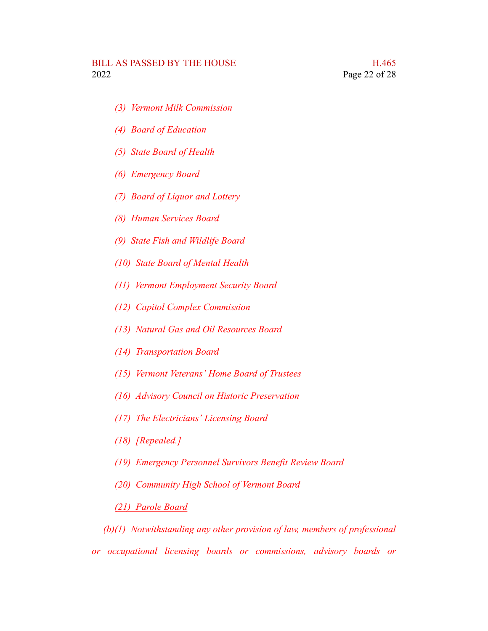- *(3) Vermont Milk Commission*
- *(4) Board of Education*
- *(5) State Board of Health*
- *(6) Emergency Board*
- *(7) Board of Liquor and Lottery*
- *(8) Human Services Board*
- *(9) State Fish and Wildlife Board*
- *(10) State Board of Mental Health*
- *(11) Vermont Employment Security Board*
- *(12) Capitol Complex Commission*
- *(13) Natural Gas and Oil Resources Board*
- *(14) Transportation Board*
- *(15) Vermont Veterans' Home Board of Trustees*
- *(16) Advisory Council on Historic Preservation*
- *(17) The Electricians' Licensing Board*
- *(18) [Repealed.]*
- *(19) Emergency Personnel Survivors Benefit Review Board*
- *(20) Community High School of Vermont Board*

### *(21) Parole Board*

*(b)(1) Notwithstanding any other provision of law, members of professional or occupational licensing boards or commissions, advisory boards or*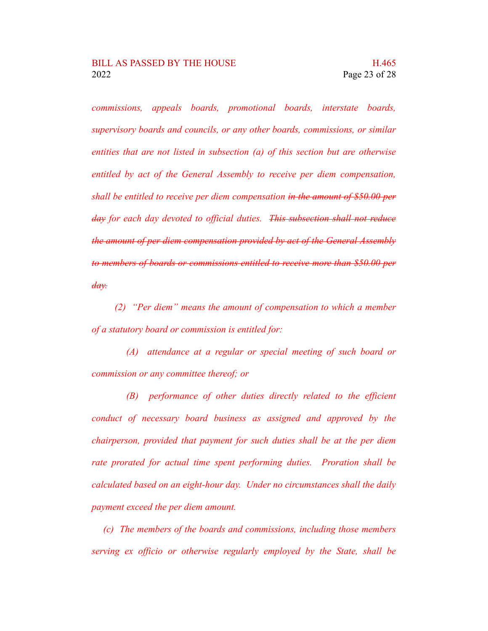*commissions, appeals boards, promotional boards, interstate boards, supervisory boards and councils, or any other boards, commissions, or similar entities that are not listed in subsection (a) of this section but are otherwise entitled by act of the General Assembly to receive per diem compensation, shall be entitled to receive per diem compensation in the amount of \$50.00 per day for each day devoted to official duties. This subsection shall not reduce the amount of per diem compensation provided by act of the General Assembly to members of boards or commissions entitled to receive more than \$50.00 per day.*

*(2) "Per diem" means the amount of compensation to which a member of a statutory board or commission is entitled for:*

*(A) attendance at a regular or special meeting of such board or commission or any committee thereof; or*

*(B) performance of other duties directly related to the efficient conduct of necessary board business as assigned and approved by the chairperson, provided that payment for such duties shall be at the per diem rate prorated for actual time spent performing duties. Proration shall be calculated based on an eight-hour day. Under no circumstances shall the daily payment exceed the per diem amount.*

*(c) The members of the boards and commissions, including those members serving ex officio or otherwise regularly employed by the State, shall be*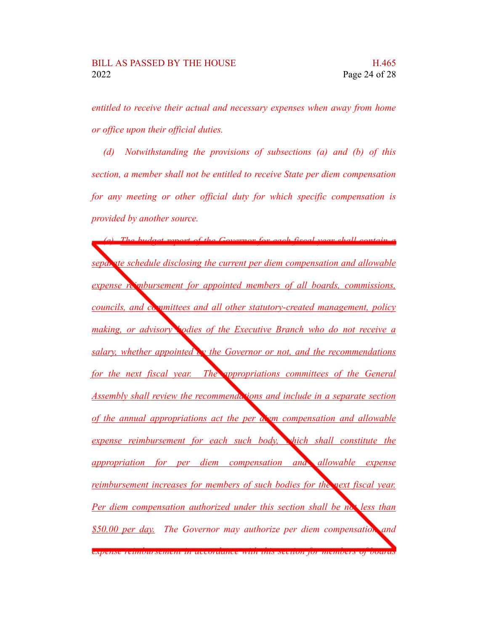*entitled to receive their actual and necessary expenses when away from home or office upon their official duties.*

*(d) Notwithstanding the provisions of subsections (a) and (b) of this section, a member shall not be entitled to receive State per diem compensation for any meeting or other official duty for which specific compensation is provided by another source.*

*(e) The budget report of the Governor for each fiscal year shall contain a separate schedule disclosing the current per diem compensation and allowable expense reimbursement for appointed members of all boards, commissions, councils, and committees and all other statutory-created management, policy making, or advisory bodies of the Executive Branch who do not receive a salary, whether appointed by the Governor or not, and the recommendations for the next fiscal year. The appropriations committees of the General Assembly shall review the recommendations and include in a separate section of the annual appropriations act the per diem compensation and allowable expense reimbursement for each such body, which shall constitute the appropriation for per diem compensation and allowable expense reimbursement increases for members of such bodies for the next fiscal year. Per diem compensation authorized under this section shall be not less than \$50.00 per day. The Governor may authorize per diem compensation and expense reimbursement in accordance with this section for members of boards*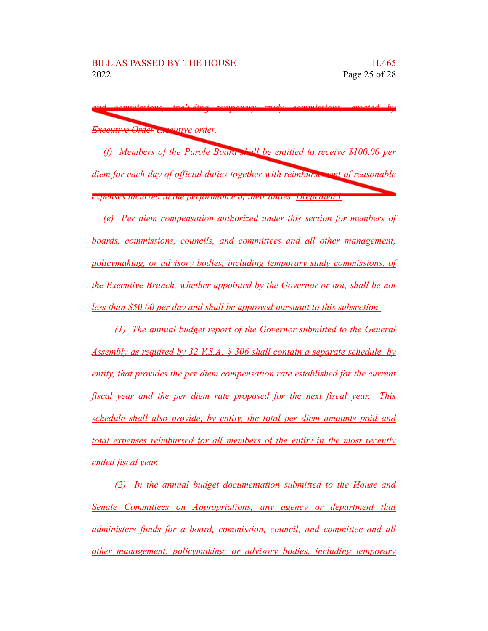*and commissions, including temporary study commissions, created by Executive Order executive order.*

*(f) Members of the Parole Board shall be entitled to receive \$100.00 per diem for each day of official duties together with reimbursement of reasonable expenses incurred in the performance of their duties. [Repealed.]*

*(e) Per diem compensation authorized under this section for members of boards, commissions, councils, and committees and all other management, policymaking, or advisory bodies, including temporary study commissions, of the Executive Branch, whether appointed by the Governor or not, shall be not less than \$50.00 per day and shall be approved pursuant to this subsection.*

*(1) The annual budget report of the Governor submitted to the General Assembly as required by 32 V.S.A. § 306 shall contain a separate schedule, by entity, that provides the per diem compensation rate established for the current fiscal year and the per diem rate proposed for the next fiscal year. This schedule shall also provide, by entity, the total per diem amounts paid and total expenses reimbursed for all members of the entity in the most recently ended fiscal year.*

*(2) In the annual budget documentation submitted to the House and Senate Committees on Appropriations, any agency or department that administers funds for a board, commission, council, and committee and all other management, policymaking, or advisory bodies, including temporary*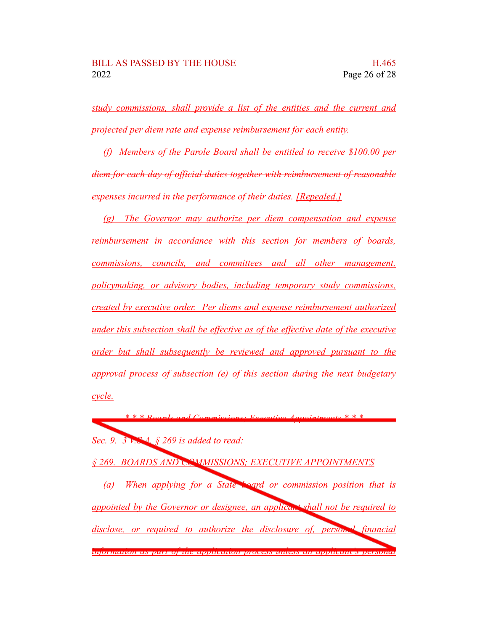*study commissions, shall provide a list of the entities and the current and projected per diem rate and expense reimbursement for each entity.*

*(f) Members of the Parole Board shall be entitled to receive \$100.00 per diem for each day of official duties together with reimbursement of reasonable expenses incurred in the performance of their duties. [Repealed.]*

*(g) The Governor may authorize per diem compensation and expense reimbursement in accordance with this section for members of boards, commissions, councils, and committees and all other management, policymaking, or advisory bodies, including temporary study commissions, created by executive order. Per diems and expense reimbursement authorized under this subsection shall be effective as of the effective date of the executive order but shall subsequently be reviewed and approved pursuant to the approval process of subsection (e) of this section during the next budgetary cycle.*

*\* \* \* Boards and Commissions; Executive Appointments \* \* \* Sec. 9. 3 V.S.A. § 269 is added to read:*

*§ 269. BOARDS AND COMMISSIONS; EXECUTIVE APPOINTMENTS*

*(a) When applying for a State board or commission position that is appointed by the Governor or designee, an applicant shall not be required to disclose, or required to authorize the disclosure of, personal financial information as part of the application process unless an applicant's personal*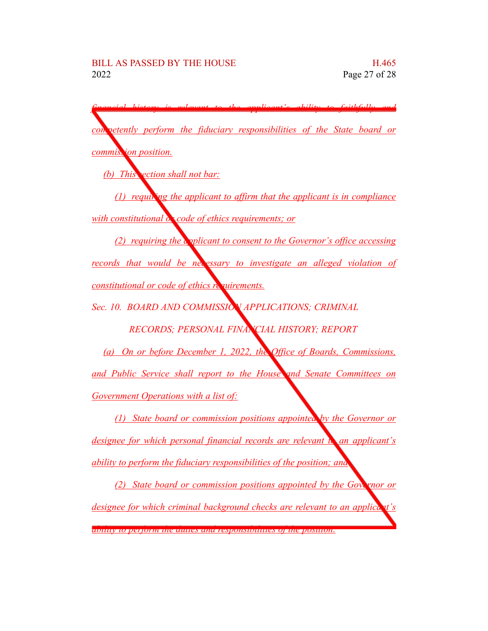*financial history is relevant to the applicant's ability to faithfully and competently perform the fiduciary responsibilities of the State board or commission position. (b) This section shall not bar: (1) requiring the applicant to affirm that the applicant is in compliance with constitutional*  $\alpha$  *code of ethics requirements; or (2) requiring the applicant to consent to the Governor's office accessing records that would be necessary to investigate an alleged violation of constitutional or code of ethics requirements. Sec. 10. BOARD AND COMMISSION APPLICATIONS; CRIMINAL RECORDS; PERSONAL FINANCIAL HISTORY; REPORT (a) On or before December 1, 2022, the Office of Boards, Commissions, and Public Service shall report to the House and Senate Committees on Government Operations with a list of: (1) State board or commission positions appointed by the Governor or designee for which personal financial records are relevant to an applicant's ability to perform the fiduciary responsibilities of the position; and (2) State board or commission positions appointed by the Governor or designee for which criminal background checks are relevant to an applicant's ability to perform the duties and responsibilities of the position.*